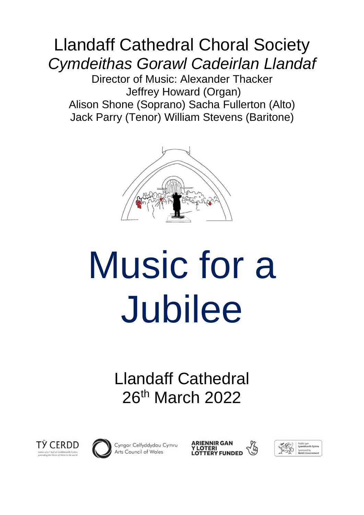# Llandaff Cathedral Choral Society *Cymdeithas Gorawl Cadeirlan Llandaf*

Director of Music: Alexander Thacker Jeffrey Howard (Organ) Alison Shone (Soprano) Sacha Fullerton (Alto) Jack Parry (Tenor) William Stevens (Baritone)



# Music for a Jubilee

Llandaff Cathedral 26th March 2022





Cyngor Celfyddydau Cymru Arts Council of Wales

ARIENNIR GAN<br>Y LOTERI<br>LOTTERY FUNDED

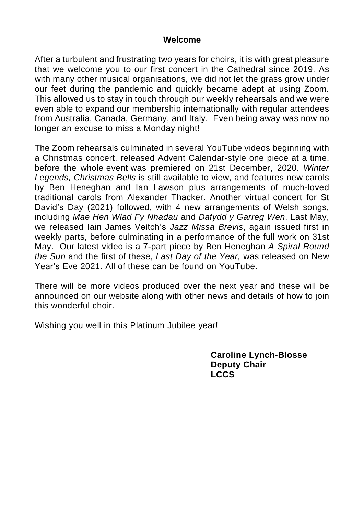#### **Welcome**

After a turbulent and frustrating two years for choirs, it is with great pleasure that we welcome you to our first concert in the Cathedral since 2019. As with many other musical organisations, we did not let the grass grow under our feet during the pandemic and quickly became adept at using Zoom. This allowed us to stay in touch through our weekly rehearsals and we were even able to expand our membership internationally with regular attendees from Australia, Canada, Germany, and Italy. Even being away was now no longer an excuse to miss a Monday night!

The Zoom rehearsals culminated in several YouTube videos beginning with a Christmas concert, released Advent Calendar-style one piece at a time, before the whole event was premiered on 21st December, 2020. *Winter Legends, Christmas Bells* is still available to view, and features new carols by Ben Heneghan and Ian Lawson plus arrangements of much-loved traditional carols from Alexander Thacker. Another virtual concert for St David's Day (2021) followed, with 4 new arrangements of Welsh songs, including *Mae Hen Wlad Fy Nhadau* and *Dafydd y Garreg Wen*. Last May, we released Iain James Veitch's *Jazz Missa Brevis*, again issued first in weekly parts, before culminating in a performance of the full work on 31st May. Our latest video is a 7-part piece by Ben Heneghan *A Spiral Round the Sun* and the first of these, *Last Day of the Year,* was released on New Year's Eve 2021. All of these can be found on YouTube.

There will be more videos produced over the next year and these will be announced on our website along with other news and details of how to join this wonderful choir.

Wishing you well in this Platinum Jubilee year!

**Caroline Lynch-Blosse Deputy Chair LCCS**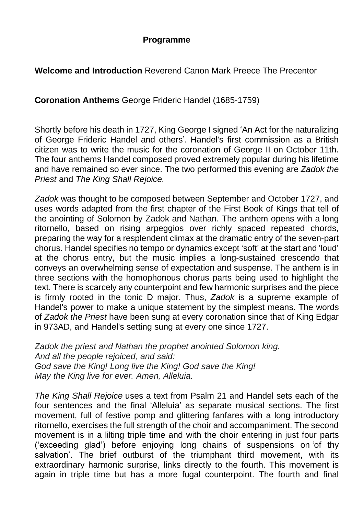#### **Programme**

#### **Welcome and Introduction** Reverend Canon Mark Preece The Precentor

**Coronation Anthems** George Frideric Handel (1685-1759)

Shortly before his death in 1727, King George I signed 'An Act for the naturalizing of George Frideric Handel and others'. Handel's first commission as a British citizen was to write the music for the coronation of George II on October 11th. The four anthems Handel composed proved extremely popular during his lifetime and have remained so ever since. The two performed this evening are *Zadok the Priest* and *The King Shall Rejoice.*

*Zadok* was thought to be composed between September and October 1727, and uses words adapted from the first chapter of the First Book of Kings that tell of the anointing of Solomon by Zadok and Nathan. The anthem opens with a long ritornello, based on rising arpeggios over richly spaced repeated chords, preparing the way for a resplendent climax at the dramatic entry of the seven-part chorus. Handel specifies no tempo or dynamics except 'soft' at the start and 'loud' at the chorus entry, but the music implies a long-sustained crescendo that conveys an overwhelming sense of expectation and suspense. The anthem is in three sections with the homophonous chorus parts being used to highlight the text. There is scarcely any counterpoint and few harmonic surprises and the piece is firmly rooted in the tonic D major. Thus, *Zadok* is a supreme example of Handel's power to make a unique statement by the simplest means. The words of *Zadok the Priest* have been sung at every coronation since that of King Edgar in 973AD, and Handel's setting sung at every one since 1727.

*Zadok the priest and Nathan the prophet anointed Solomon king. And all the people rejoiced, and said: God save the King! Long live the King! God save the King! May the King live for ever. Amen, Alleluia.*

*The King Shall Rejoice* uses a text from Psalm 21 and Handel sets each of the four sentences and the final 'Alleluia' as separate musical sections. The first movement, full of festive pomp and glittering fanfares with a long introductory ritornello, exercises the full strength of the choir and accompaniment. The second movement is in a lilting triple time and with the choir entering in just four parts ('exceeding glad') before enjoying long chains of suspensions on 'of thy salvation'. The brief outburst of the triumphant third movement, with its extraordinary harmonic surprise, links directly to the fourth. This movement is again in triple time but has a more fugal counterpoint. The fourth and final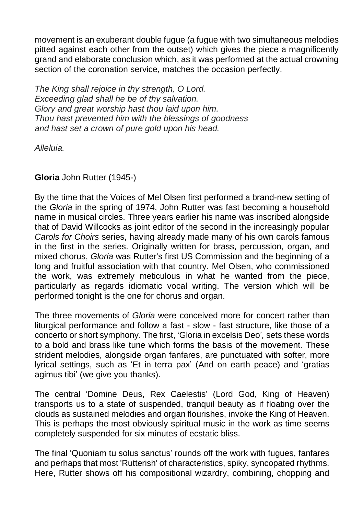movement is an exuberant double fugue (a fugue with two simultaneous melodies pitted against each other from the outset) which gives the piece a magnificently grand and elaborate conclusion which, as it was performed at the actual crowning section of the coronation service, matches the occasion perfectly.

*The King shall rejoice in thy strength, O Lord. Exceeding glad shall he be of thy salvation. Glory and great worship hast thou laid upon him. Thou hast prevented him with the blessings of goodness and hast set a crown of pure gold upon his head.*

*Alleluia.*

#### **Gloria** John Rutter (1945-)

By the time that the Voices of Mel Olsen first performed a brand-new setting of the *Gloria* in the spring of 1974, John Rutter was fast becoming a household name in musical circles. Three years earlier his name was inscribed alongside that of David Willcocks as joint editor of the second in the increasingly popular *Carols for Choirs* series, having already made many of his own carols famous in the first in the series. Originally written for brass, percussion, organ, and mixed chorus, *Gloria* was Rutter's first US Commission and the beginning of a long and fruitful association with that country. Mel Olsen, who commissioned the work, was extremely meticulous in what he wanted from the piece, particularly as regards idiomatic vocal writing. The version which will be performed tonight is the one for chorus and organ.

The three movements of *Gloria* were conceived more for concert rather than liturgical performance and follow a fast - slow - fast structure, like those of a concerto or short symphony. The first, 'Gloria in excelsis Deo'*,* sets these words to a bold and brass like tune which forms the basis of the movement. These strident melodies, alongside organ fanfares, are punctuated with softer, more lyrical settings, such as 'Et in terra pax' (And on earth peace) and 'gratias agimus tibi' (we give you thanks).

The central 'Domine Deus, Rex Caelestis' (Lord God, King of Heaven) transports us to a state of suspended, tranquil beauty as if floating over the clouds as sustained melodies and organ flourishes, invoke the King of Heaven. This is perhaps the most obviously spiritual music in the work as time seems completely suspended for six minutes of ecstatic bliss.

The final 'Quoniam tu solus sanctus' rounds off the work with fugues, fanfares and perhaps that most 'Rutterish' of characteristics, spiky, syncopated rhythms. Here, Rutter shows off his compositional wizardry, combining, chopping and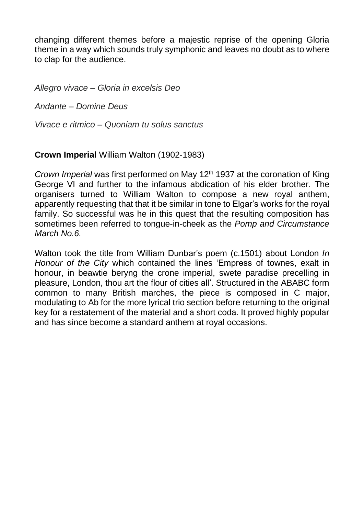changing different themes before a majestic reprise of the opening Gloria theme in a way which sounds truly symphonic and leaves no doubt as to where to clap for the audience.

*Allegro vivace – Gloria in excelsis Deo*

*Andante – Domine Deus*

*Vivace e ritmico – Quoniam tu solus sanctus*

**Crown Imperial** William Walton (1902-1983)

*Crown Imperial* was first performed on May 12<sup>th</sup> 1937 at the coronation of King George VI and further to the infamous abdication of his elder brother. The organisers turned to William Walton to compose a new royal anthem, apparently requesting that that it be similar in tone to Elgar's works for the royal family. So successful was he in this quest that the resulting composition has sometimes been referred to tongue-in-cheek as the *Pomp and Circumstance March No.6.*

Walton took the title from William Dunbar's poem (c.1501) about London *In Honour of the City* which contained the lines 'Empress of townes, exalt in honour, in beawtie beryng the crone imperial, swete paradise precelling in pleasure, London, thou art the flour of cities all'. Structured in the ABABC form common to many British marches, the piece is composed in C major, modulating to Ab for the more lyrical trio section before returning to the original key for a restatement of the material and a short coda. It proved highly popular and has since become a standard anthem at royal occasions.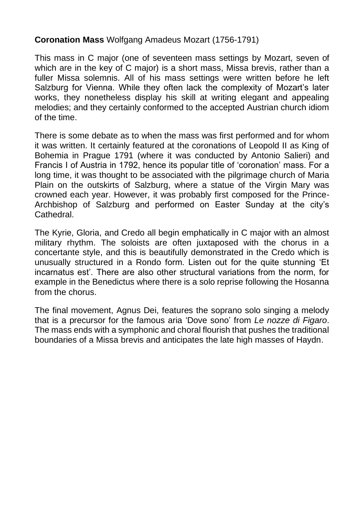#### **Coronation Mass** Wolfgang Amadeus Mozart (1756-1791)

This mass in C major (one of seventeen mass settings by Mozart, seven of which are in the key of C major) is a short mass, Missa brevis, rather than a fuller Missa solemnis. All of his mass settings were written before he left Salzburg for Vienna. While they often lack the complexity of Mozart's later works, they nonetheless display his skill at writing elegant and appealing melodies; and they certainly conformed to the accepted Austrian church idiom of the time.

There is some debate as to when the mass was first performed and for whom it was written. It certainly featured at the coronations of Leopold II as King of Bohemia in Prague 1791 (where it was conducted by Antonio Salieri) and Francis I of Austria in 1792, hence its popular title of 'coronation' mass. For a long time, it was thought to be associated with the pilgrimage church of Maria Plain on the outskirts of Salzburg, where a statue of the Virgin Mary was crowned each year. However, it was probably first composed for the Prince-Archbishop of Salzburg and performed on Easter Sunday at the city's Cathedral.

The Kyrie, Gloria, and Credo all begin emphatically in C major with an almost military rhythm. The soloists are often juxtaposed with the chorus in a concertante style, and this is beautifully demonstrated in the Credo which is unusually structured in a Rondo form. Listen out for the quite stunning 'Et incarnatus est'. There are also other structural variations from the norm, for example in the Benedictus where there is a solo reprise following the Hosanna from the chorus.

The final movement, Agnus Dei, features the soprano solo singing a melody that is a precursor for the famous aria 'Dove sono' from *Le nozze di Figaro*. The mass ends with a symphonic and choral flourish that pushes the traditional boundaries of a Missa brevis and anticipates the late high masses of Haydn.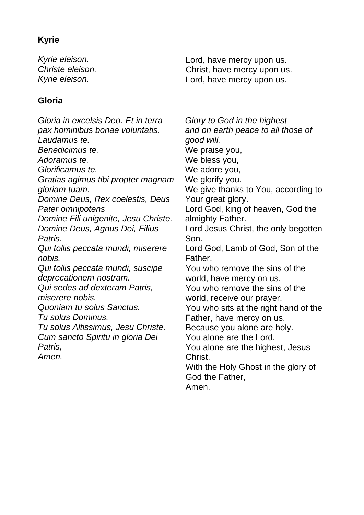#### **Kyrie**

*Kyrie eleison. Christe eleison. Kyrie eleison.*

#### **Gloria**

*Gloria in excelsis Deo. Et in terra pax hominibus bonae voluntatis. Laudamus te. Benedicimus te. Adoramus te. Glorificamus te. Gratias agimus tibi propter magnam gloriam tuam. Domine Deus, Rex coelestis, Deus Pater omnipotens Domine Fili unigenite, Jesu Christe. Domine Deus, Agnus Dei, Filius Patris. Qui tollis peccata mundi, miserere nobis. Qui tollis peccata mundi, suscipe deprecationem nostram. Qui sedes ad dexteram Patris, miserere nobis. Quoniam tu solus Sanctus. Tu solus Dominus. Tu solus Altissimus, Jesu Christe. Cum sancto Spiritu in gloria Dei Patris, Amen.*

Lord, have mercy upon us. Christ, have mercy upon us. Lord, have mercy upon us.

*Glory to God in the highest and on earth peace to all those of good will.* We praise you, We bless you, We adore you, We glorify you. We give thanks to You, according to Your great glory. Lord God, king of heaven, God the almighty Father. Lord Jesus Christ, the only begotten Son. Lord God, Lamb of God, Son of the Father. You who remove the sins of the world, have mercy on us. You who remove the sins of the world, receive our prayer. You who sits at the right hand of the Father, have mercy on us. Because you alone are holy. You alone are the Lord. You alone are the highest, Jesus Christ. With the Holy Ghost in the glory of God the Father,

Amen.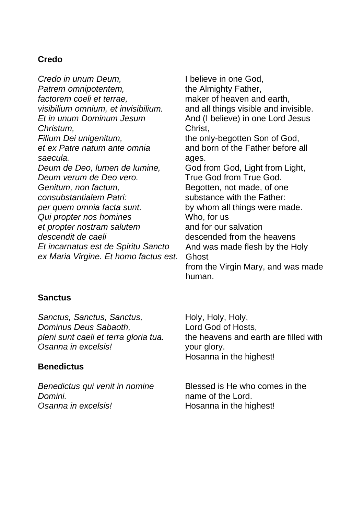#### **Credo**

*Credo in unum Deum, Patrem omnipotentem, factorem coeli et terrae, visibilium omnium, et invisibilium. Et in unum Dominum Jesum Christum, Filium Dei unigenitum, et ex Patre natum ante omnia saecula. Deum de Deo, lumen de lumine, Deum verum de Deo vero. Genitum, non factum, consubstantialem Patri: per quem omnia facta sunt. Qui propter nos homines et propter nostram salutem descendit de caeli Et incarnatus est de Spiritu Sancto ex Maria Virgine. Et homo factus est.* I believe in one God, the Almighty Father, maker of heaven and earth, and all things visible and invisible. And (I believe) in one Lord Jesus Christ, the only-begotten Son of God, and born of the Father before all ages. God from God, Light from Light, True God from True God. Begotten, not made, of one substance with the Father: by whom all things were made. Who, for us and for our salvation descended from the heavens And was made flesh by the Holy **Ghost** from the Virgin Mary, and was made human.

#### **Sanctus**

*Sanctus, Sanctus, Sanctus, Dominus Deus Sabaoth, pleni sunt caeli et terra gloria tua. Osanna in excelsis!*

#### **Benedictus**

*Benedictus qui venit in nomine Domini. Osanna in excelsis!*

Holy, Holy, Holy, Lord God of Hosts, the heavens and earth are filled with your glory. Hosanna in the highest!

Blessed is He who comes in the name of the Lord. Hosanna in the highest!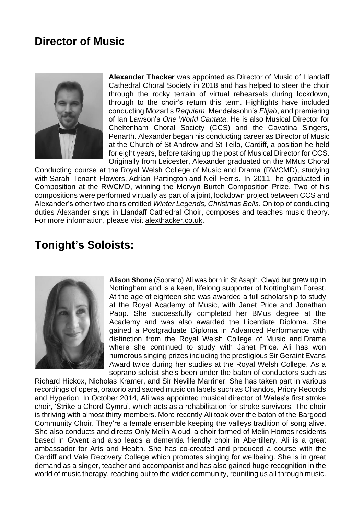## **Director of Music**



**Alexander Thacker** was appointed as Director of Music of Llandaff Cathedral Choral Society in 2018 and has helped to steer the choir through the rocky terrain of virtual rehearsals during lockdown, through to the choir's return this term. Highlights have included conducting Mozart's *Requiem*, Mendelssohn's *Elijah*, and premiering of Ian Lawson's *One World Cantata*. He is also Musical Director for Cheltenham Choral Society (CCS) and the Cavatina Singers, Penarth. Alexander began his conducting career as Director of Music at the Church of St Andrew and St Teilo, Cardiff, a position he held for eight years, before taking up the post of Musical Director for CCS. Originally from Leicester, Alexander graduated on the MMus Choral

Conducting course at the Royal Welsh College of Music and Drama (RWCMD), studying with Sarah Tenant Flowers, Adrian Partington and Neil Ferris. In 2011, he graduated in Composition at the RWCMD, winning the Mervyn Burtch Composition Prize. Two of his compositions were performed virtually as part of a joint, lockdown project between CCS and Alexander's other two choirs entitled *Winter Legends, Christmas Bells*. On top of conducting duties Alexander sings in Llandaff Cathedral Choir, composes and teaches music theory. For more information, please visit alexthacker.co.uk.

### **Tonight's Soloists:**



**Alison Shone** (Soprano) Ali was born in St Asaph, Clwyd but grew up in Nottingham and is a keen, lifelong supporter of Nottingham Forest. At the age of eighteen she was awarded a full scholarship to study at the Royal Academy of Music, with Janet Price and Jonathan Papp. She successfully completed her BMus degree at the Academy and was also awarded the Licentiate Diploma. She gained a Postgraduate Diploma in Advanced Performance with distinction from the Royal Welsh College of Music and Drama where she continued to study with Janet Price. Ali has won numerous singing prizes including the prestigious Sir Geraint Evans Award twice during her studies at the Royal Welsh College. As a soprano soloist she's been under the baton of conductors such as

Richard Hickox, Nicholas Kramer, and Sir Neville Marriner. She has taken part in various recordings of opera, oratorio and sacred music on labels such as Chandos, Priory Records and Hyperion. In October 2014, Ali was appointed musical director of Wales's first stroke choir, 'Strike a Chord Cymru', which acts as a rehabilitation for stroke survivors. The choir is thriving with almost thirty members. More recently Ali took over the baton of the Bargoed Community Choir. They're a female ensemble keeping the valleys tradition of song alive. She also conducts and directs Only Melin Aloud, a choir formed of Melin Homes residents based in Gwent and also leads a dementia friendly choir in Abertillery. Ali is a great ambassador for Arts and Health. She has co-created and produced a course with the Cardiff and Vale Recovery College which promotes singing for wellbeing. She is in great demand as a singer, teacher and accompanist and has also gained huge recognition in the world of music therapy, reaching out to the wider community, reuniting us all through music.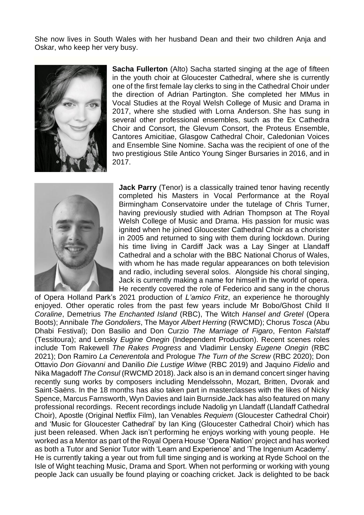She now lives in South Wales with her husband Dean and their two children Anja and Oskar, who keep her very busy.



**Sacha Fullerton** (Alto) Sacha started singing at the age of fifteen in the youth choir at Gloucester Cathedral, where she is currently one of the first female lay clerks to sing in the Cathedral Choir under the direction of Adrian Partington. She completed her MMus in Vocal Studies at the Royal Welsh College of Music and Drama in 2017, where she studied with Lorna Anderson. She has sung in several other professional ensembles, such as the Ex Cathedra Choir and Consort, the Glevum Consort, the Proteus Ensemble, Cantores Amicitiae, Glasgow Cathedral Choir, Caledonian Voices and Ensemble Sine Nomine. Sacha was the recipient of one of the two prestigious Stile Antico Young Singer Bursaries in 2016, and in 2017.



**Jack Parry** (Tenor) is a classically trained tenor having recently completed his Masters in Vocal Performance at the Royal Birmingham Conservatoire under the tutelage of Chris Turner, having previously studied with Adrian Thompson at The Royal Welsh College of Music and Drama. His passion for music was ignited when he joined Gloucester Cathedral Choir as a chorister in 2005 and returned to sing with them during lockdown. During his time living in Cardiff Jack was a Lay Singer at Llandaff Cathedral and a scholar with the BBC National Chorus of Wales, with whom he has made regular appearances on both television and radio, including several solos. Alongside his choral singing, Jack is currently making a name for himself in the world of opera. He recently covered the role of Federico and sang in the chorus

of Opera Holland Park's 2021 production of *L'amico Fritz*, an experience he thoroughly enjoyed. Other operatic roles from the past few years include Mr Bobo/Ghost Child II *Coraline*, Demetrius *The Enchanted Island* (RBC), The Witch *Hansel and Gretel* (Opera Boots); Annibale *The Gondoliers*, The Mayor *Albert Herring* (RWCMD); Chorus *Tosca* (Abu Dhabi Festival); Don Basilio and Don Curzio *The Marriage of Figaro*, Fenton *Falstaff* (Tessitoura); and Lensky *Eugine Onegin* (Independent Production). Recent scenes roles include Tom Rakewell *The Rakes Progress* and Vladimir Lensky *Eugene Onegin* (RBC 2021); Don Ramiro *La Cenerentola* and Prologue *The Turn of the Screw* (RBC 2020); Don Ottavio *Don Giovanni* and Danilio *Die Lustige Witwe* (RBC 2019) and Jaquino *Fidelio* and Nika Magadoff *The Consul* (RWCMD 2018). Jack also is an in demand concert singer having recently sung works by composers including Mendelssohn, Mozart, Britten, Dvorak and Saint-Saëns. In the 18 months has also taken part in masterclasses with the likes of Nicky Spence, Marcus Farnsworth, Wyn Davies and Iain Burnside.Jack has also featured on many professional recordings. Recent recordings include Nadolig yn Llandaff (Llandaff Cathedral Choir), Apostle (Original Netflix Film), Ian Venables *Requiem* (Gloucester Cathedral Choir) and 'Music for Gloucester Cathedral' by Ian King (Gloucester Cathedral Choir) which has just been released. When Jack isn't performing he enjoys working with young people. He worked as a Mentor as part of the Royal Opera House 'Opera Nation' project and has worked as both a Tutor and Senior Tutor with 'Learn and Experience' and 'The Ingenium Academy'. He is currently taking a year out from full time singing and is working at Ryde School on the Isle of Wight teaching Music, Drama and Sport. When not performing or working with young people Jack can usually be found playing or coaching cricket. Jack is delighted to be back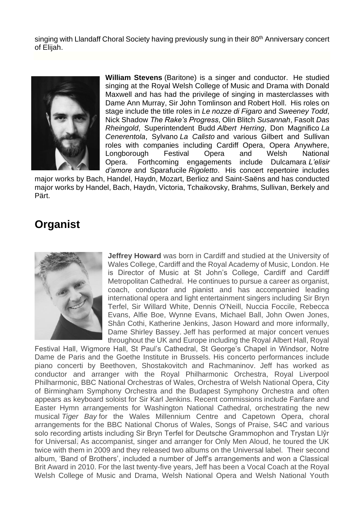singing with Llandaff Choral Society having previously sung in their 80<sup>th</sup> Anniversary concert of Elijah.



**William Stevens** (Baritone) is a singer and conductor. He studied singing at the Royal Welsh College of Music and Drama with Donald Maxwell and has had the privilege of singing in masterclasses with Dame Ann Murray, Sir John Tomlinson and Robert Holl. His roles on stage include the title roles in *Le nozze di Figaro* and *Sweeney Todd*, Nick Shadow *The Rake's Progress*, Olin Blitch *Susannah*, Fasolt *Das Rheingold*, Superintendent Budd *Albert Herring*, Don Magnifico *La Cenerentola*, Sylvano *La Calisto* and various Gilbert and Sullivan roles with companies including Cardiff Opera, Opera Anywhere, Longborough Festival Opera and Welsh National Opera. Forthcoming engagements include Dulcamara *L'elisir d'amore* and Sparafucile *Rigoletto*. His concert repertoire includes

major works by Bach, Handel, Haydn, Mozart, Berlioz and Saint-Saëns and has conducted major works by Handel, Bach, Haydn, Victoria, Tchaikovsky, Brahms, Sullivan, Berkely and Pärt.

# **Organist**



**Jeffrey Howard** was born in Cardiff and studied at the University of Wales College, Cardiff and the Royal Academy of Music, London. He is Director of Music at St John's College, Cardiff and Cardiff Metropolitan Cathedral. He continues to pursue a career as organist, coach, conductor and pianist and has accompanied leading international opera and light entertainment singers including Sir Bryn Terfel, Sir Willard White, Dennis O'Neill, Nuccia Foccile, Rebecca Evans, Alfie Boe, Wynne Evans, Michael Ball, John Owen Jones, Shân Cothi, Katherine Jenkins, Jason Howard and more informally, Dame Shirley Bassey. Jeff has performed at major concert venues throughout the UK and Europe including the Royal Albert Hall, Royal

Festival Hall, Wigmore Hall, St Paul's Cathedral, St George's Chapel in Windsor, Notre Dame de Paris and the Goethe Institute in Brussels. His concerto performances include piano concerti by Beethoven, Shostakovitch and Rachmaninov. Jeff has worked as conductor and arranger with the Royal Philharmonic Orchestra, Royal Liverpool Philharmonic, BBC National Orchestras of Wales, Orchestra of Welsh National Opera, City of Birmingham Symphony Orchestra and the Budapest Symphony Orchestra and often appears as keyboard soloist for Sir Karl Jenkins. Recent commissions include Fanfare and Easter Hymn arrangements for Washington National Cathedral, orchestrating the new musical *Tiger Bay* for the Wales Millennium Centre and Capetown Opera, choral arrangements for the BBC National Chorus of Wales, Songs of Praise, S4C and various solo recording artists including Sir Bryn Terfel for Deutsche Grammophon and Trystan Llŷr for Universal. As accompanist, singer and arranger for Only Men Aloud, he toured the UK twice with them in 2009 and they released two albums on the Universal label. Their second album, 'Band of Brothers', included a number of Jeff's arrangements and won a Classical Brit Award in 2010. For the last twenty-five years, Jeff has been a Vocal Coach at the Royal Welsh College of Music and Drama, Welsh National Opera and Welsh National Youth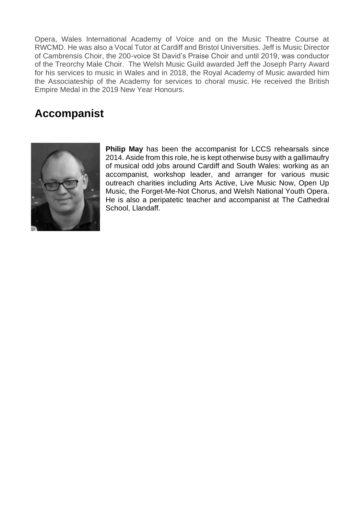Opera, Wales International Academy of Voice and on the Music Theatre Course at RWCMD. He was also a Vocal Tutor at Cardiff and Bristol Universities. Jeff is Music Director of Cambrensis Choir, the 200-voice St David's Praise Choir and until 2019, was conductor of the Treorchy Male Choir. The Welsh Music Guild awarded Jeff the Joseph Parry Award for his services to music in Wales and in 2018, the Royal Academy of Music awarded him the Associateship of the Academy for services to choral music. He received the British Empire Medal in the 2019 New Year Honours.

# **Accompanist**



**Philip May** has been the accompanist for LCCS rehearsals since 2014. Aside from this role, he is kept otherwise busy with a gallimaufry of musical odd jobs around Cardiff and South Wales: working as an accompanist, workshop leader, and arranger for various music outreach charities including Arts Active, Live Music Now, Open Up Music, the Forget-Me-Not Chorus, and Welsh National Youth Opera. He is also a peripatetic teacher and accompanist at The Cathedral School, Llandaff.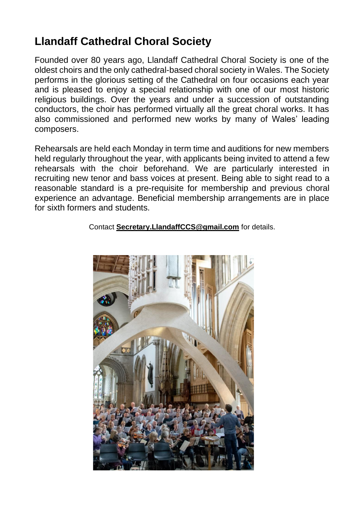# **Llandaff Cathedral Choral Society**

Founded over 80 years ago, Llandaff Cathedral Choral Society is one of the oldest choirs and the only cathedral-based choral society in Wales. The Society performs in the glorious setting of the Cathedral on four occasions each year and is pleased to enjoy a special relationship with one of our most historic religious buildings. Over the years and under a succession of outstanding conductors, the choir has performed virtually all the great choral works. It has also commissioned and performed new works by many of Wales' leading composers.

Rehearsals are held each Monday in term time and auditions for new members held regularly throughout the year, with applicants being invited to attend a few rehearsals with the choir beforehand. We are particularly interested in recruiting new tenor and bass voices at present. Being able to sight read to a reasonable standard is a pre-requisite for membership and previous choral experience an advantage. Beneficial membership arrangements are in place for sixth formers and students.

Contact **[Secretary.LlandaffCCS@gmail.com](mailto:Secretary.LlandaffCCS@gmail.com)** for details.